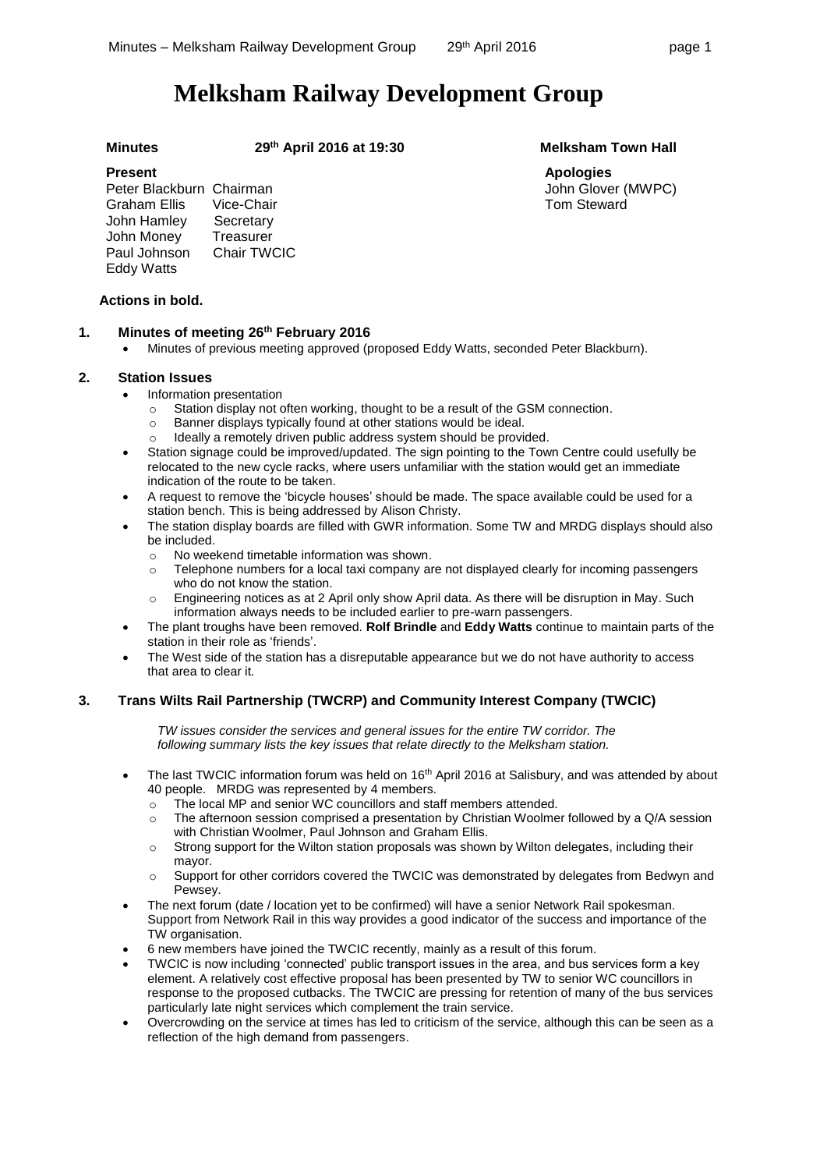# **Melksham Railway Development Group**

**Minutes 29th April 2016 at 19:30 Melksham Town Hall**

### **Present**

Peter Blackburn Chairman<br>Graham Ellis Vice-Chair Graham Ellis John Hamley Secretary John Money Treasurer<br>Paul Johnson Chair TWCIC Paul Johnson Eddy Watts

# **Actions in bold.**

# **1. Minutes of meeting 26th February 2016**

Minutes of previous meeting approved (proposed Eddy Watts, seconded Peter Blackburn).

### **2. Station Issues**

- Information presentation
	- o Station display not often working, thought to be a result of the GSM connection.
	- o Banner displays typically found at other stations would be ideal.
	- o Ideally a remotely driven public address system should be provided.
- Station signage could be improved/updated. The sign pointing to the Town Centre could usefully be relocated to the new cycle racks, where users unfamiliar with the station would get an immediate indication of the route to be taken.
- A request to remove the 'bicycle houses' should be made. The space available could be used for a station bench. This is being addressed by Alison Christy.
- The station display boards are filled with GWR information. Some TW and MRDG displays should also be included.
	- o No weekend timetable information was shown.
	- $\circ$  Telephone numbers for a local taxi company are not displayed clearly for incoming passengers who do not know the station.
	- o Engineering notices as at 2 April only show April data. As there will be disruption in May. Such information always needs to be included earlier to pre-warn passengers.
- The plant troughs have been removed. **Rolf Brindle** and **Eddy Watts** continue to maintain parts of the station in their role as 'friends'.
- The West side of the station has a disreputable appearance but we do not have authority to access that area to clear it.

# **3. Trans Wilts Rail Partnership (TWCRP) and Community Interest Company (TWCIC)**

*TW issues consider the services and general issues for the entire TW corridor. The following summary lists the key issues that relate directly to the Melksham station.*

- The last TWCIC information forum was held on 16<sup>th</sup> April 2016 at Salisbury, and was attended by about 40 people. MRDG was represented by 4 members.
	- o The local MP and senior WC councillors and staff members attended.
	- o The afternoon session comprised a presentation by Christian Woolmer followed by a Q/A session with Christian Woolmer, Paul Johnson and Graham Ellis.
	- $\circ$  Strong support for the Wilton station proposals was shown by Wilton delegates, including their mayor.
	- o Support for other corridors covered the TWCIC was demonstrated by delegates from Bedwyn and Pewsey.
- The next forum (date / location yet to be confirmed) will have a senior Network Rail spokesman. Support from Network Rail in this way provides a good indicator of the success and importance of the TW organisation.
- 6 new members have joined the TWCIC recently, mainly as a result of this forum.
- TWCIC is now including 'connected' public transport issues in the area, and bus services form a key element. A relatively cost effective proposal has been presented by TW to senior WC councillors in response to the proposed cutbacks. The TWCIC are pressing for retention of many of the bus services particularly late night services which complement the train service.
- Overcrowding on the service at times has led to criticism of the service, although this can be seen as a reflection of the high demand from passengers.

**Apologies** John Glover (MWPC) Tom Steward